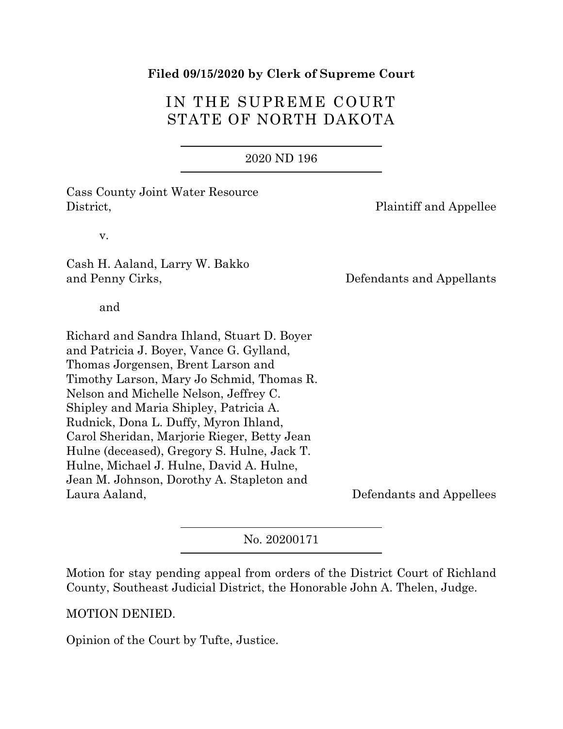#### **Filed 09/15/2020 by Clerk of Supreme Court**

# IN THE SUPREME COURT STATE OF NORTH DAKOTA

#### 2020 ND 196

Cass County Joint Water Resource District, **Plaintiff and Appellee** 

v.

Cash H. Aaland, Larry W. Bakko and Penny Cirks, Defendants and Appellants

and

Richard and Sandra Ihland, Stuart D. Boyer and Patricia J. Boyer, Vance G. Gylland, Thomas Jorgensen, Brent Larson and Timothy Larson, Mary Jo Schmid, Thomas R. Nelson and Michelle Nelson, Jeffrey C. Shipley and Maria Shipley, Patricia A. Rudnick, Dona L. Duffy, Myron Ihland, Carol Sheridan, Marjorie Rieger, Betty Jean Hulne (deceased), Gregory S. Hulne, Jack T. Hulne, Michael J. Hulne, David A. Hulne, Jean M. Johnson, Dorothy A. Stapleton and Laura Aaland, Defendants and Appellees

No. 20200171

Motion for stay pending appeal from orders of the District Court of Richland County, Southeast Judicial District, the Honorable John A. Thelen, Judge.

MOTION DENIED.

Opinion of the Court by Tufte, Justice.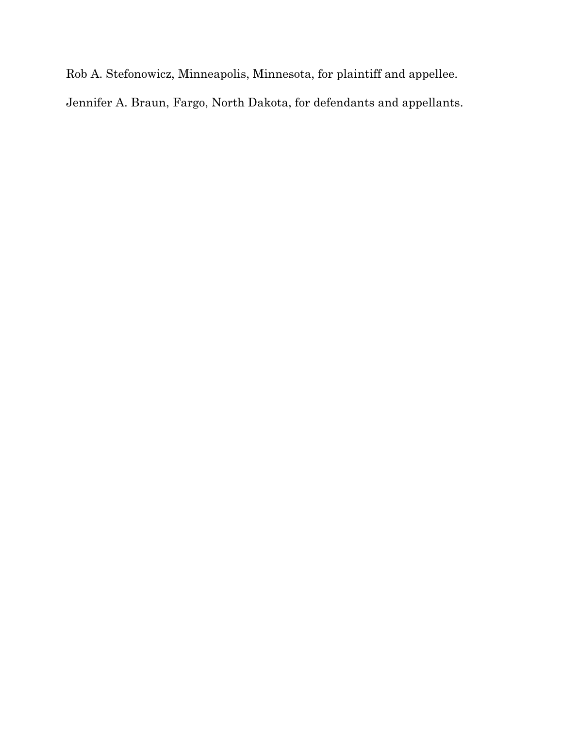Rob A. Stefonowicz, Minneapolis, Minnesota, for plaintiff and appellee.

Jennifer A. Braun, Fargo, North Dakota, for defendants and appellants.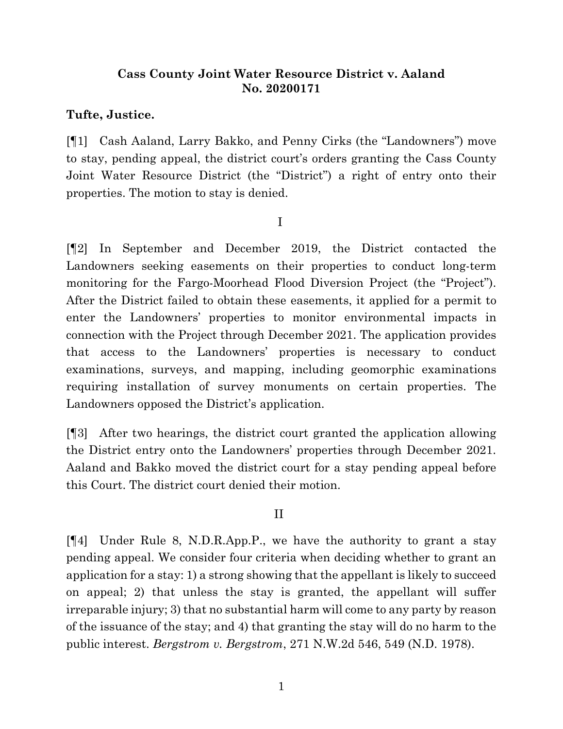# **Cass County Joint Water Resource District v. Aaland No. 20200171**

## **Tufte, Justice.**

[¶1] Cash Aaland, Larry Bakko, and Penny Cirks (the "Landowners") move to stay, pending appeal, the district court's orders granting the Cass County Joint Water Resource District (the "District") a right of entry onto their properties. The motion to stay is denied.

I

[¶2] In September and December 2019, the District contacted the Landowners seeking easements on their properties to conduct long-term monitoring for the Fargo-Moorhead Flood Diversion Project (the "Project"). After the District failed to obtain these easements, it applied for a permit to enter the Landowners' properties to monitor environmental impacts in connection with the Project through December 2021. The application provides that access to the Landowners' properties is necessary to conduct examinations, surveys, and mapping, including geomorphic examinations requiring installation of survey monuments on certain properties. The Landowners opposed the District's application.

[¶3] After two hearings, the district court granted the application allowing the District entry onto the Landowners' properties through December 2021. Aaland and Bakko moved the district court for a stay pending appeal before this Court. The district court denied their motion.

## II

[¶4] Under Rule 8, N.D.R.App.P., we have the authority to grant a stay pending appeal. We consider four criteria when deciding whether to grant an application for a stay: 1) a strong showing that the appellant is likely to succeed on appeal; 2) that unless the stay is granted, the appellant will suffer irreparable injury; 3) that no substantial harm will come to any party by reason of the issuance of the stay; and 4) that granting the stay will do no harm to the public interest. *Bergstrom v. Bergstrom*, 271 N.W.2d 546, 549 (N.D. 1978).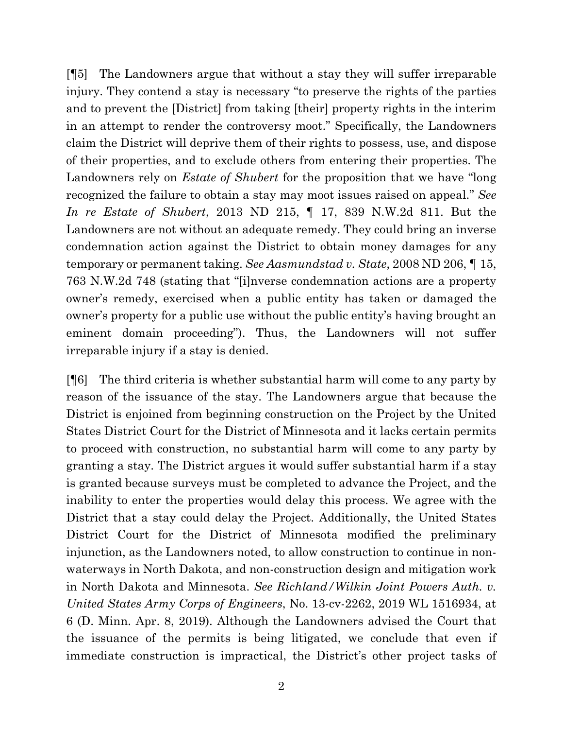[¶5] The Landowners argue that without a stay they will suffer irreparable injury. They contend a stay is necessary "to preserve the rights of the parties and to prevent the [District] from taking [their] property rights in the interim in an attempt to render the controversy moot." Specifically, the Landowners claim the District will deprive them of their rights to possess, use, and dispose of their properties, and to exclude others from entering their properties. The Landowners rely on *Estate of Shubert* for the proposition that we have "long recognized the failure to obtain a stay may moot issues raised on appeal." *See In re Estate of Shubert*, 2013 ND 215, ¶ 17, 839 N.W.2d 811. But the Landowners are not without an adequate remedy. They could bring an inverse condemnation action against the District to obtain money damages for any temporary or permanent taking. *See Aasmundstad v. State*, 2008 ND 206, ¶ 15, 763 N.W.2d 748 (stating that "[i]nverse condemnation actions are a property owner's remedy, exercised when a public entity has taken or damaged the owner's property for a public use without the public entity's having brought an eminent domain proceeding"). Thus, the Landowners will not suffer irreparable injury if a stay is denied.

[¶6] The third criteria is whether substantial harm will come to any party by reason of the issuance of the stay. The Landowners argue that because the District is enjoined from beginning construction on the Project by the United States District Court for the District of Minnesota and it lacks certain permits to proceed with construction, no substantial harm will come to any party by granting a stay. The District argues it would suffer substantial harm if a stay is granted because surveys must be completed to advance the Project, and the inability to enter the properties would delay this process. We agree with the District that a stay could delay the Project. Additionally, the United States District Court for the District of Minnesota modified the preliminary injunction, as the Landowners noted, to allow construction to continue in nonwaterways in North Dakota, and non-construction design and mitigation work in North Dakota and Minnesota. *See Richland/Wilkin Joint Powers Auth. v. United States Army Corps of Engineers*, No. 13-cv-2262, 2019 WL 1516934, at 6 (D. Minn. Apr. 8, 2019). Although the Landowners advised the Court that the issuance of the permits is being litigated, we conclude that even if immediate construction is impractical, the District's other project tasks of